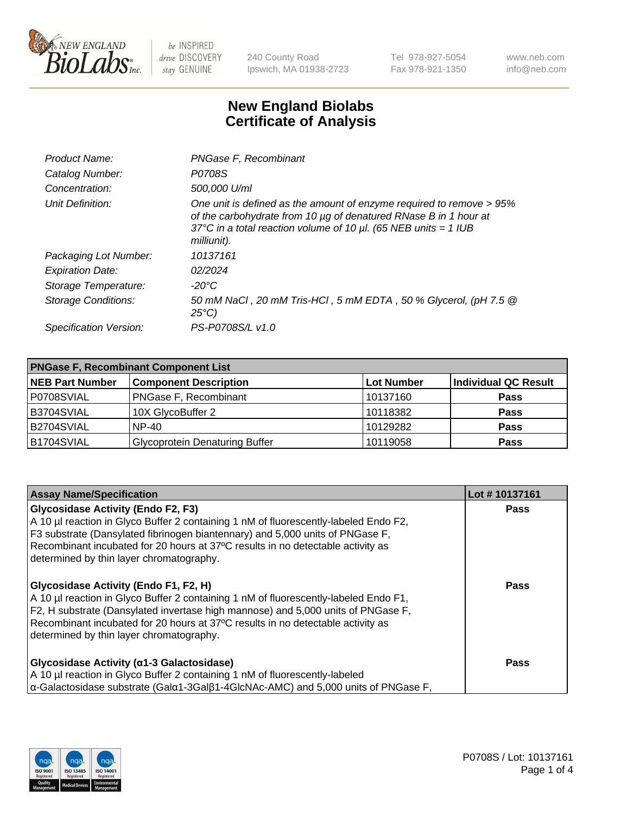

240 County Road Ipswich, MA 01938-2723 Tel 978-927-5054 Fax 978-921-1350 www.neb.com info@neb.com

## **New England Biolabs Certificate of Analysis**

| Product Name:              | PNGase F, Recombinant                                                                                                                                                                                                           |
|----------------------------|---------------------------------------------------------------------------------------------------------------------------------------------------------------------------------------------------------------------------------|
| Catalog Number:            | P0708S                                                                                                                                                                                                                          |
| Concentration:             | 500,000 U/ml                                                                                                                                                                                                                    |
| Unit Definition:           | One unit is defined as the amount of enzyme required to remove > 95%<br>of the carbohydrate from 10 µg of denatured RNase B in 1 hour at<br>37°C in a total reaction volume of 10 $\mu$ l. (65 NEB units = 1 IUB<br>milliunit). |
| Packaging Lot Number:      | 10137161                                                                                                                                                                                                                        |
| <b>Expiration Date:</b>    | 02/2024                                                                                                                                                                                                                         |
| Storage Temperature:       | -20°C                                                                                                                                                                                                                           |
| <b>Storage Conditions:</b> | 50 mM NaCl, 20 mM Tris-HCl, 5 mM EDTA, 50 % Glycerol, (pH 7.5 @<br>$25^{\circ}C$                                                                                                                                                |
| Specification Version:     | PS-P0708S/L v1.0                                                                                                                                                                                                                |

| <b>PNGase F, Recombinant Component List</b> |                                       |                   |                             |  |
|---------------------------------------------|---------------------------------------|-------------------|-----------------------------|--|
| <b>NEB Part Number</b>                      | <b>Component Description</b>          | <b>Lot Number</b> | <b>Individual QC Result</b> |  |
| P0708SVIAL                                  | <b>PNGase F, Recombinant</b>          | 10137160          | <b>Pass</b>                 |  |
| B3704SVIAL                                  | 10X GlycoBuffer 2                     | 10118382          | <b>Pass</b>                 |  |
| B2704SVIAL                                  | $NP-40$                               | 10129282          | <b>Pass</b>                 |  |
| B1704SVIAL                                  | <b>Glycoprotein Denaturing Buffer</b> | 10119058          | <b>Pass</b>                 |  |

| <b>Assay Name/Specification</b>                                                                                                                                                                                                                                                                                                                  | Lot #10137161 |
|--------------------------------------------------------------------------------------------------------------------------------------------------------------------------------------------------------------------------------------------------------------------------------------------------------------------------------------------------|---------------|
| <b>Glycosidase Activity (Endo F2, F3)</b><br>A 10 µl reaction in Glyco Buffer 2 containing 1 nM of fluorescently-labeled Endo F2,                                                                                                                                                                                                                | <b>Pass</b>   |
| F3 substrate (Dansylated fibrinogen biantennary) and 5,000 units of PNGase F,<br>Recombinant incubated for 20 hours at 37°C results in no detectable activity as                                                                                                                                                                                 |               |
| determined by thin layer chromatography.                                                                                                                                                                                                                                                                                                         |               |
| Glycosidase Activity (Endo F1, F2, H)<br>A 10 µl reaction in Glyco Buffer 2 containing 1 nM of fluorescently-labeled Endo F1,<br>F2, H substrate (Dansylated invertase high mannose) and 5,000 units of PNGase F,<br>Recombinant incubated for 20 hours at 37°C results in no detectable activity as<br>determined by thin layer chromatography. | Pass          |
| Glycosidase Activity ( $\alpha$ 1-3 Galactosidase)                                                                                                                                                                                                                                                                                               | Pass          |
| A 10 µl reaction in Glyco Buffer 2 containing 1 nM of fluorescently-labeled                                                                                                                                                                                                                                                                      |               |
| $\alpha$ -Galactosidase substrate (Gal $\alpha$ 1-3Gal $\beta$ 1-4GlcNAc-AMC) and 5,000 units of PNGase F,                                                                                                                                                                                                                                       |               |

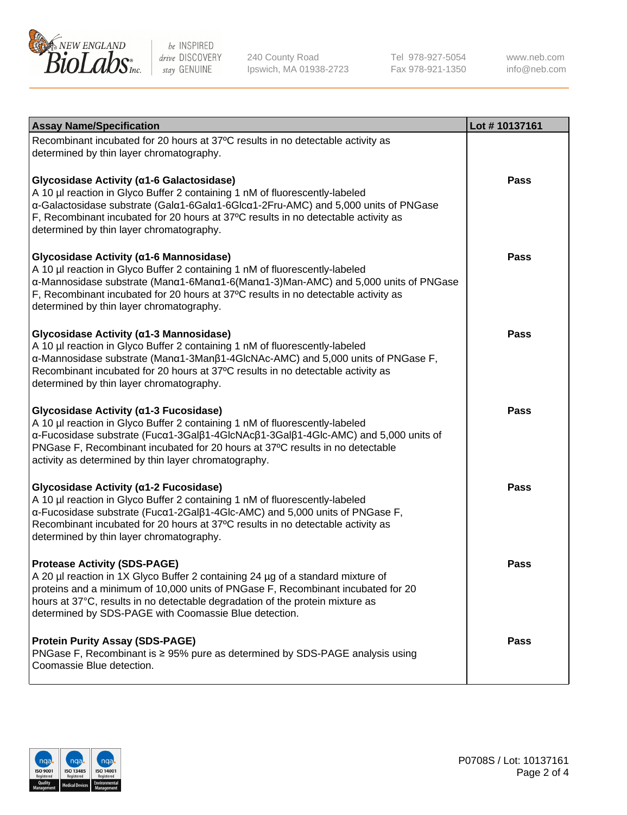

240 County Road Ipswich, MA 01938-2723 Tel 978-927-5054 Fax 978-921-1350

www.neb.com info@neb.com

| <b>Assay Name/Specification</b>                                                                                                                                                                                                                                                                                                                      | Lot #10137161 |
|------------------------------------------------------------------------------------------------------------------------------------------------------------------------------------------------------------------------------------------------------------------------------------------------------------------------------------------------------|---------------|
| Recombinant incubated for 20 hours at 37°C results in no detectable activity as<br>determined by thin layer chromatography.                                                                                                                                                                                                                          |               |
| Glycosidase Activity (α1-6 Galactosidase)<br>A 10 µl reaction in Glyco Buffer 2 containing 1 nM of fluorescently-labeled<br>α-Galactosidase substrate (Galα1-6Galα1-6Glcα1-2Fru-AMC) and 5,000 units of PNGase<br>F, Recombinant incubated for 20 hours at 37°C results in no detectable activity as<br>determined by thin layer chromatography.     | Pass          |
| Glycosidase Activity (α1-6 Mannosidase)<br>A 10 µl reaction in Glyco Buffer 2 containing 1 nM of fluorescently-labeled<br>α-Mannosidase substrate (Manα1-6Manα1-6(Manα1-3)Man-AMC) and 5,000 units of PNGase<br>F, Recombinant incubated for 20 hours at 37°C results in no detectable activity as<br>determined by thin layer chromatography.       | <b>Pass</b>   |
| Glycosidase Activity (α1-3 Mannosidase)<br>A 10 µl reaction in Glyco Buffer 2 containing 1 nM of fluorescently-labeled<br>α-Mannosidase substrate (Manα1-3Manβ1-4GlcNAc-AMC) and 5,000 units of PNGase F,<br>Recombinant incubated for 20 hours at 37°C results in no detectable activity as<br>determined by thin layer chromatography.             | <b>Pass</b>   |
| Glycosidase Activity (α1-3 Fucosidase)<br>A 10 µl reaction in Glyco Buffer 2 containing 1 nM of fluorescently-labeled<br>α-Fucosidase substrate (Fucα1-3Galβ1-4GlcNAcβ1-3Galβ1-4Glc-AMC) and 5,000 units of<br>PNGase F, Recombinant incubated for 20 hours at 37°C results in no detectable<br>activity as determined by thin layer chromatography. | <b>Pass</b>   |
| Glycosidase Activity (α1-2 Fucosidase)<br>A 10 µl reaction in Glyco Buffer 2 containing 1 nM of fluorescently-labeled<br>α-Fucosidase substrate (Fucα1-2Galβ1-4Glc-AMC) and 5,000 units of PNGase F,<br>Recombinant incubated for 20 hours at 37°C results in no detectable activity as<br>determined by thin layer chromatography.                  | <b>Pass</b>   |
| <b>Protease Activity (SDS-PAGE)</b><br>A 20 µl reaction in 1X Glyco Buffer 2 containing 24 µg of a standard mixture of<br>proteins and a minimum of 10,000 units of PNGase F, Recombinant incubated for 20<br>hours at 37°C, results in no detectable degradation of the protein mixture as<br>determined by SDS-PAGE with Coomassie Blue detection. | Pass          |
| <b>Protein Purity Assay (SDS-PAGE)</b><br>PNGase F, Recombinant is ≥ 95% pure as determined by SDS-PAGE analysis using<br>Coomassie Blue detection.                                                                                                                                                                                                  | Pass          |

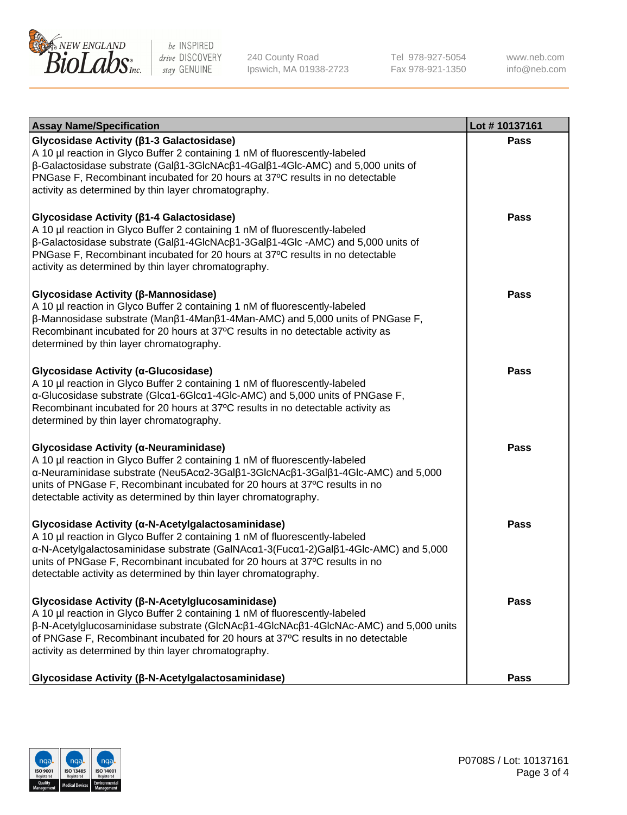

240 County Road Ipswich, MA 01938-2723 Tel 978-927-5054 Fax 978-921-1350 www.neb.com info@neb.com

| <b>Assay Name/Specification</b>                                                                                                                                                                                                                                                                                                                                            | Lot #10137161 |
|----------------------------------------------------------------------------------------------------------------------------------------------------------------------------------------------------------------------------------------------------------------------------------------------------------------------------------------------------------------------------|---------------|
| Glycosidase Activity (β1-3 Galactosidase)<br>A 10 µl reaction in Glyco Buffer 2 containing 1 nM of fluorescently-labeled<br>β-Galactosidase substrate (Galβ1-3GlcNAcβ1-4Galβ1-4Glc-AMC) and 5,000 units of<br>PNGase F, Recombinant incubated for 20 hours at 37°C results in no detectable<br>activity as determined by thin layer chromatography.                        | <b>Pass</b>   |
| Glycosidase Activity (β1-4 Galactosidase)<br>A 10 µl reaction in Glyco Buffer 2 containing 1 nM of fluorescently-labeled<br>β-Galactosidase substrate (Galβ1-4GlcNAcβ1-3Galβ1-4Glc -AMC) and 5,000 units of<br>PNGase F, Recombinant incubated for 20 hours at 37°C results in no detectable<br>activity as determined by thin layer chromatography.                       | Pass          |
| Glycosidase Activity (β-Mannosidase)<br>A 10 µl reaction in Glyco Buffer 2 containing 1 nM of fluorescently-labeled<br>$\beta$ -Mannosidase substrate (Man $\beta$ 1-4Man $\beta$ 1-4Man-AMC) and 5,000 units of PNGase F,<br>Recombinant incubated for 20 hours at 37°C results in no detectable activity as<br>determined by thin layer chromatography.                  | Pass          |
| Glycosidase Activity (a-Glucosidase)<br>A 10 µl reaction in Glyco Buffer 2 containing 1 nM of fluorescently-labeled<br>α-Glucosidase substrate (Glcα1-6Glcα1-4Glc-AMC) and 5,000 units of PNGase F,<br>Recombinant incubated for 20 hours at 37°C results in no detectable activity as<br>determined by thin layer chromatography.                                         | <b>Pass</b>   |
| Glycosidase Activity (α-Neuraminidase)<br>A 10 µl reaction in Glyco Buffer 2 containing 1 nM of fluorescently-labeled<br>α-Neuraminidase substrate (Neu5Acα2-3Galβ1-3GlcNAcβ1-3Galβ1-4Glc-AMC) and 5,000<br>units of PNGase F, Recombinant incubated for 20 hours at 37°C results in no<br>detectable activity as determined by thin layer chromatography.                 | <b>Pass</b>   |
| Glycosidase Activity (α-N-Acetylgalactosaminidase)<br>A 10 µl reaction in Glyco Buffer 2 containing 1 nM of fluorescently-labeled<br>α-N-Acetylgalactosaminidase substrate (GalNAcα1-3(Fucα1-2)Galβ1-4Glc-AMC) and 5,000<br>units of PNGase F, Recombinant incubated for 20 hours at 37°C results in no<br>detectable activity as determined by thin layer chromatography. | <b>Pass</b>   |
| Glycosidase Activity (β-N-Acetylglucosaminidase)<br>A 10 µl reaction in Glyco Buffer 2 containing 1 nM of fluorescently-labeled<br>β-N-Acetylglucosaminidase substrate (GlcNAcβ1-4GlcNAcβ1-4GlcNAc-AMC) and 5,000 units<br>of PNGase F, Recombinant incubated for 20 hours at 37°C results in no detectable<br>activity as determined by thin layer chromatography.        | Pass          |
| Glycosidase Activity (β-N-Acetylgalactosaminidase)                                                                                                                                                                                                                                                                                                                         | Pass          |